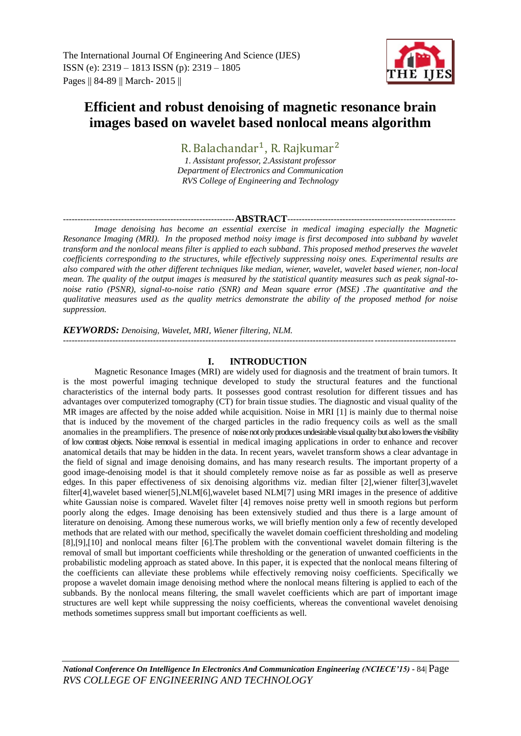The International Journal Of Engineering And Science (IJES) ISSN (e): 2319 – 1813 ISSN (p): 2319 – 1805 Pages || 84-89 || March- 2015 ||



# **Efficient and robust denoising of magnetic resonance brain images based on wavelet based nonlocal means algorithm**

R. Balachandar<sup>1</sup>, *1. Assistant professor, 2.Assistant professor Department of Electronics and Communication*

*RVS College of Engineering and Technology*

## -----------------------------------------------------------**ABSTRACT**----------------------------------------------------------

*Image denoising has become an essential exercise in medical imaging especially the Magnetic Resonance Imaging (MRI). In the proposed method noisy image is first decomposed into subband by wavelet transform and the nonlocal means filter is applied to each subband. This proposed method preserves the wavelet coefficients corresponding to the structures, while effectively suppressing noisy ones. Experimental results are also compared with the other different techniques like median, wiener, wavelet, wavelet based wiener, non-local mean. The quality of the output images is measured by the statistical quantity measures such as peak signal-tonoise ratio (PSNR), signal-to-noise ratio (SNR) and Mean square error (MSE) .The quantitative and the qualitative measures used as the quality metrics demonstrate the ability of the proposed method for noise suppression.* 

# *KEYWORDS: Denoising, Wavelet, MRI, Wiener filtering, NLM.*

---------------------------------------------------------------------------------------------------------------------------------------

# **I. INTRODUCTION**

Magnetic Resonance Images (MRI) are widely used for diagnosis and the treatment of brain tumors. It is the most powerful imaging technique developed to study the structural features and the functional characteristics of the internal body parts. It possesses good contrast resolution for different tissues and has advantages over computerized tomography (CT) for brain tissue studies. The diagnostic and visual quality of the MR images are affected by the noise added while acquisition. Noise in MRI [1] is mainly due to thermal noise that is induced by the movement of the charged particles in the radio frequency coils as well as the small anomalies in the preamplifiers. The presence of noise not only produces undesirable visual quality but also lowers the visibility of low contrast objects. Noise removal is essential in medical imaging applications in order to enhance and recover anatomical details that may be hidden in the data. In recent years, wavelet transform shows a clear advantage in the field of signal and image denoising domains, and has many research results. The important property of a good image-denoising model is that it should completely remove noise as far as possible as well as preserve edges. In this paper effectiveness of six denoising algorithms viz. median filter [2],wiener filter[3],wavelet filter[4],wavelet based wiener[5],NLM[6],wavelet based NLM[7] using MRI images in the presence of additive white Gaussian noise is compared. Wavelet filter [4] removes noise pretty well in smooth regions but perform poorly along the edges. Image denoising has been extensively studied and thus there is a large amount of literature on denoising. Among these numerous works, we will briefly mention only a few of recently developed methods that are related with our method, specifically the wavelet domain coefficient thresholding and modeling [8],[9],[10] and nonlocal means filter [6].The problem with the conventional wavelet domain filtering is the removal of small but important coefficients while thresholding or the generation of unwanted coefficients in the probabilistic modeling approach as stated above. In this paper, it is expected that the nonlocal means filtering of the coefficients can alleviate these problems while effectively removing noisy coefficients. Specifically we propose a wavelet domain image denoising method where the nonlocal means filtering is applied to each of the subbands. By the nonlocal means filtering, the small wavelet coefficients which are part of important image structures are well kept while suppressing the noisy coefficients, whereas the conventional wavelet denoising methods sometimes suppress small but important coefficients as well.

*National Conference On Intelligence In Electronics And Communication Engineering (NCIECE'15) -* 84| Page *RVS COLLEGE OF ENGINEERING AND TECHNOLOGY*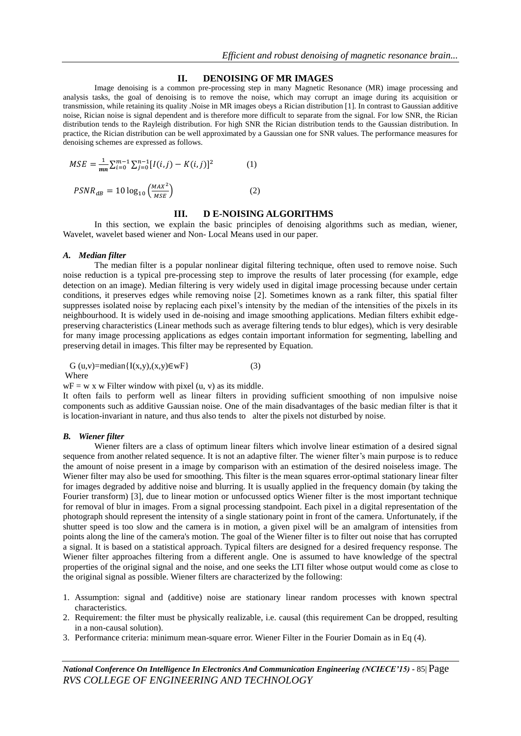## **II. DENOISING OF MR IMAGES**

Image denoising is a common pre-processing step in many Magnetic Resonance (MR) image processing and analysis tasks, the goal of denoising is to remove the noise, which may corrupt an image during its acquisition or transmission, while retaining its quality .Noise in MR images obeys a Rician distribution [1]. In contrast to Gaussian additive noise, Rician noise is signal dependent and is therefore more difficult to separate from the signal. For low SNR, the Rician distribution tends to the Rayleigh distribution. For high SNR the Rician distribution tends to the Gaussian distribution. In practice, the Rician distribution can be well approximated by a Gaussian one for SNR values. The performance measures for denoising schemes are expressed as follows.

$$
MSE = \frac{1}{mn} \sum_{i=0}^{m-1} \sum_{j=0}^{n-1} [I(i,j) - K(i,j)]^2
$$
 (1)

$$
PSNR_{dB} = 10 \log_{10} \left( \frac{MAX^2}{MSE} \right) \tag{2}
$$

# **III. D E-NOISING ALGORITHMS**

In this section, we explain the basic principles of denoising algorithms such as median, wiener, Wavelet, wavelet based wiener and Non- Local Means used in our paper.

#### *A. Median filter*

The median filter is a popular nonlinear digital filtering technique, often used to remove noise. Such noise reduction is a typical pre-processing step to improve the results of later processing (for example, edge detection on an image). Median filtering is very widely used in digital image processing because under certain conditions, it preserves edges while removing noise [2]. Sometimes known as a rank filter, this spatial filter suppresses isolated noise by replacing each pixel's intensity by the median of the intensities of the pixels in its neighbourhood. It is widely used in de-noising and image smoothing applications. Median filters exhibit edgepreserving characteristics (Linear methods such as average filtering tends to blur edges), which is very desirable for many image processing applications as edges contain important information for segmenting, labelling and preserving detail in images. This filter may be represented by Equation.

$$
G(u,v)=median{I(x,y),(x,y)\in wF}
$$
 (3)  
Where

 $wF = w x w$  Filter window with pixel (u, v) as its middle.

It often fails to perform well as linear filters in providing sufficient smoothing of non impulsive noise components such as additive Gaussian noise. One of the main disadvantages of the basic median filter is that it is location-invariant in nature, and thus also tends to alter the pixels not disturbed by noise.

## *B. Wiener filter*

Wiener filters are a class of optimum linear filters which involve linear estimation of a desired signal sequence from another related sequence. It is not an adaptive filter. The wiener filter's main purpose is to reduce the amount of noise present in a image by comparison with an estimation of the desired noiseless image. The Wiener filter may also be used for smoothing. This filter is the mean squares error-optimal stationary linear filter for images degraded by additive noise and blurring. It is usually applied in the frequency domain (by taking the Fourier transform) [3], due to linear motion or unfocussed optics Wiener filter is the most important technique for removal of blur in images. From a signal processing standpoint. Each pixel in a digital representation of the photograph should represent the intensity of a single stationary point in front of the camera. Unfortunately, if the shutter speed is too slow and the camera is in motion, a given pixel will be an amalgram of intensities from points along the line of the camera's motion. The goal of the Wiener filter is to filter out noise that has corrupted a signal. It is based on a statistical approach. Typical filters are designed for a desired frequency response. The Wiener filter approaches filtering from a different angle. One is assumed to have knowledge of the spectral properties of the original signal and the noise, and one seeks the LTI filter whose output would come as close to the original signal as possible. Wiener filters are characterized by the following:

- 1. Assumption: signal and (additive) noise are stationary linear random processes with known spectral characteristics.
- 2. Requirement: the filter must be physically realizable, i.e. causal (this requirement Can be dropped, resulting in a non-causal solution).
- 3. Performance criteria: minimum mean-square error. Wiener Filter in the Fourier Domain as in Eq (4).

*National Conference On Intelligence In Electronics And Communication Engineering (NCIECE'15) -* 85| Page *RVS COLLEGE OF ENGINEERING AND TECHNOLOGY*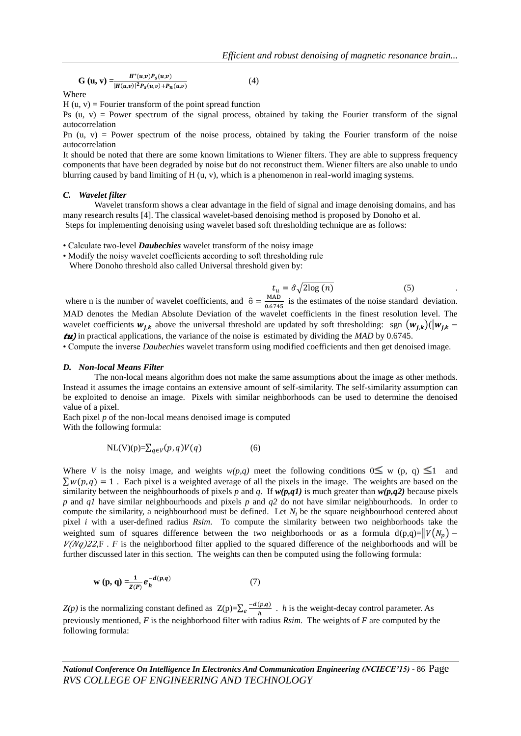$$
G (u, v) = \frac{H^{*}(u,v)P_{S}(u,v)}{|H(u,v)|^{2}P_{S}(u,v) + P_{n}(u,v)}
$$
(4)

Where

 $H (u, v) =$  Fourier transform of the point spread function

Ps  $(u, v)$  = Power spectrum of the signal process, obtained by taking the Fourier transform of the signal autocorrelation

Pn  $(u, v)$  = Power spectrum of the noise process, obtained by taking the Fourier transform of the noise autocorrelation

It should be noted that there are some known limitations to Wiener filters. They are able to suppress frequency components that have been degraded by noise but do not reconstruct them. Wiener filters are also unable to undo blurring caused by band limiting of H (u, v), which is a phenomenon in real-world imaging systems.

#### *C. Wavelet filter*

Wavelet transform shows a clear advantage in the field of signal and image denoising domains, and has many research results [4]. The classical wavelet-based denoising method is proposed by Donoho et al. Steps for implementing denoising using wavelet based soft thresholding technique are as follows:

• Calculate two-level *Daubechies* wavelet transform of the noisy image

• Modify the noisy wavelet coefficients according to soft thresholding rule

Where Donoho threshold also called Universal threshold given by:

$$
t_u = \hat{\sigma} \sqrt{2 \log(n)} \tag{5}
$$

where n is the number of wavelet coefficients, and  $\hat{\sigma} = \frac{M}{\gamma}$  $\frac{m}{6.6745}$  is the estimates of the noise standard deviation. MAD denotes the Median Absolute Deviation of the wavelet coefficients in the finest resolution level. The wavelet coefficients  $w_{j,k}$  above the universal threshold are updated by soft thresholding: sgn  $(w_{j,k})$  $(|w_{j,k}-$ ) in practical applications, the variance of the noise is estimated by dividing the *MAD* by 0.6745.

• Compute the inverse *Daubechies* wavelet transform using modified coefficients and then get denoised image.

#### *D. Non-local Means Filter*

The non-local means algorithm does not make the same assumptions about the image as other methods. Instead it assumes the image contains an extensive amount of self-similarity. The self-similarity assumption can be exploited to denoise an image. Pixels with similar neighborhoods can be used to determine the denoised value of a pixel.

Each pixel *p* of the non-local means denoised image is computed With the following formula:

$$
NL(V)(p) = \sum_{q \in V} (p, q)V(q)
$$
 (6)

Where *V* is the noisy image, and weights  $w(p,q)$  meet the following conditions  $0 \leq w$  (p, q)  $\leq 1$  and  $\sum w(p, q) = 1$ . Each pixel is a weighted average of all the pixels in the image. The weights are based on the similarity between the neighbourhoods of pixels  $p$  and  $q$ . If  $w(p,q1)$  is much greater than  $w(p,q2)$  because pixels *p* and *q1* have similar neighbourhoods and pixels *p* and *q2* do not have similar neighbourhoods. In order to compute the similarity, a neighbourhood must be defined. Let  $N_i$  be the square neighbourhood centered about pixel *i* with a user-defined radius *Rsim*. To compute the similarity between two neighborhoods take the weighted sum of squares difference between the two neighborhoods or as a formula  $d(p,q)=||V(N_p) V(Nq)22$ F. *F* is the neighborhood filter applied to the squared difference of the neighborhoods and will be further discussed later in this section. The weights can then be computed using the following formula:

$$
w(p, q) = \frac{1}{Z(P)} e_h^{-d(p,q)}
$$
 (7)

 $Z(p)$  is the normalizing constant defined as  $Z(p)=\sum_{e}$  $e^{\frac{-a(p,q)}{h}}$ . *h* is the weight-decay control parameter. As previously mentioned, *F* is the neighborhood filter with radius *Rsim*. The weights of *F* are computed by the following formula:

*National Conference On Intelligence In Electronics And Communication Engineering (NCIECE'15) -* 86| Page *RVS COLLEGE OF ENGINEERING AND TECHNOLOGY*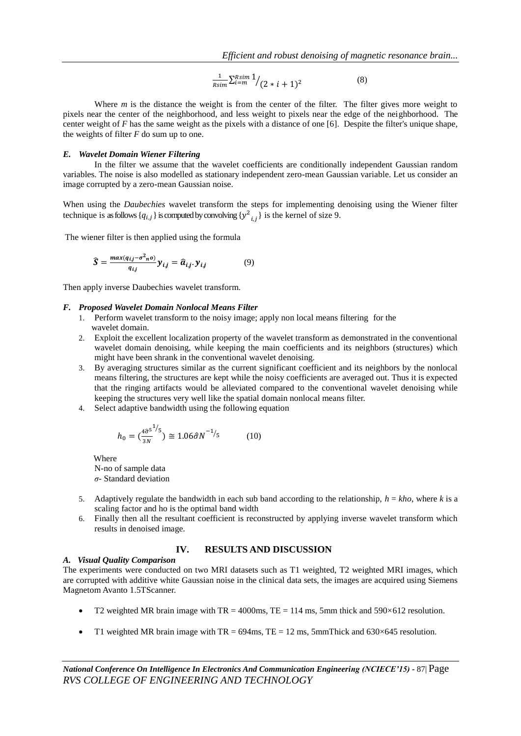$$
\frac{1}{R\sin} \sum_{i=m}^{R\sin 1} / (2 \times i + 1)^2 \tag{8}
$$

Where *m* is the distance the weight is from the center of the filter. The filter gives more weight to pixels near the center of the neighborhood, and less weight to pixels near the edge of the neighborhood. The center weight of *F* has the same weight as the pixels with a distance of one [6]. Despite the filter's unique shape, the weights of filter *F* do sum up to one.

### *E. Wavelet Domain Wiener Filtering*

In the filter we assume that the wavelet coefficients are conditionally independent Gaussian random variables. The noise is also modelled as stationary independent zero-mean Gaussian variable. Let us consider an image corrupted by a zero-mean Gaussian noise.

When using the *Daubechies* wavelet transform the steps for implementing denoising using the Wiener filter technique is as follows  $\{q_{i,j}\}\$ is computed by convolving  $\{y^2_{i,j}\}\$ is the kernel of size 9.

The wiener filter is then applied using the formula

$$
\widehat{S} = \frac{max(q_{i,j} - \sigma^2 n^0)}{q_{i,j}} y_{i,j} = \widehat{a}_{i,j} y_{i,j}
$$
(9)

Then apply inverse Daubechies wavelet transform.

#### *F. Proposed Wavelet Domain Nonlocal Means Filter*

- 1. Perform wavelet transform to the noisy image; apply non local means filtering for the wavelet domain.
- 2. Exploit the excellent localization property of the wavelet transform as demonstrated in the conventional wavelet domain denoising, while keeping the main coefficients and its neighbors (structures) which might have been shrank in the conventional wavelet denoising.
- 3. By averaging structures similar as the current significant coefficient and its neighbors by the nonlocal means filtering, the structures are kept while the noisy coefficients are averaged out. Thus it is expected that the ringing artifacts would be alleviated compared to the conventional wavelet denoising while keeping the structures very well like the spatial domain nonlocal means filter.
- 4. Select adaptive bandwidth using the following equation

$$
h_0 = \left(\frac{4\hat{\sigma}^5}{3N}\right)^{1/5} \ge 1.06\hat{\sigma}N^{-1/5} \tag{10}
$$

 Where N-no of sample data *σ-* Standard deviation

- 5. Adaptively regulate the bandwidth in each sub band according to the relationship,  $h = kho$ , where  $k$  is a scaling factor and ho is the optimal band width
- 6. Finally then all the resultant coefficient is reconstructed by applying inverse wavelet transform which results in denoised image.

# **IV. RESULTS AND DISCUSSION**

#### *A. Visual Quality Comparison*

The experiments were conducted on two MRI datasets such as T1 weighted, T2 weighted MRI images, which are corrupted with additive white Gaussian noise in the clinical data sets, the images are acquired using Siemens Magnetom Avanto 1.5TScanner.

- T2 weighted MR brain image with  $TR = 4000$ ms,  $TE = 114$  ms, 5mm thick and 590×612 resolution.
- T1 weighted MR brain image with TR =  $694 \text{ms}$ , TE = 12 ms, 5mmThick and  $630 \times 645$  resolution.

*National Conference On Intelligence In Electronics And Communication Engineering (NCIECE'15) -* 87| Page *RVS COLLEGE OF ENGINEERING AND TECHNOLOGY*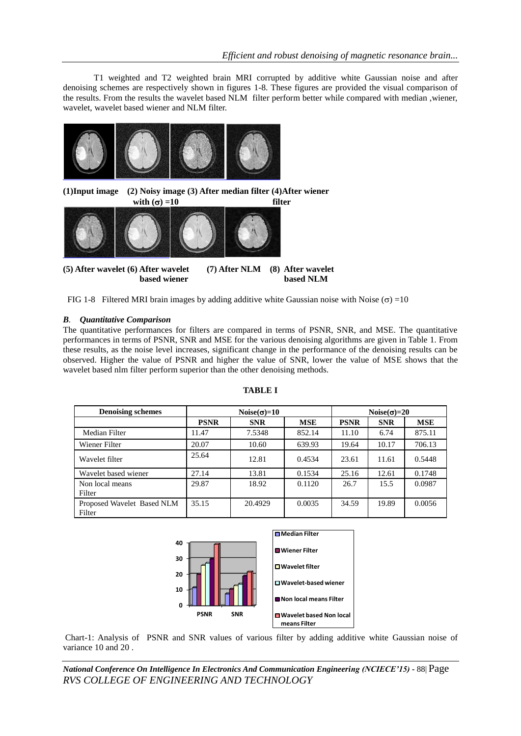T1 weighted and T2 weighted brain MRI corrupted by additive white Gaussian noise and after denoising schemes are respectively shown in figures 1-8. These figures are provided the visual comparison of the results. From the results the wavelet based NLM filter perform better while compared with median ,wiener, wavelet, wavelet based wiener and NLM filter.



FIG 1-8 Filtered MRI brain images by adding additive white Gaussian noise with Noise ( $\sigma$ ) =10

# *B. Quantitative Comparison*

The quantitative performances for filters are compared in terms of PSNR, SNR, and MSE. The quantitative performances in terms of PSNR, SNR and MSE for the various denoising algorithms are given in Table 1. From these results, as the noise level increases, significant change in the performance of the denoising results can be observed. Higher the value of PSNR and higher the value of SNR, lower the value of MSE shows that the wavelet based nlm filter perform superior than the other denoising methods.

| <b>Denoising schemes</b>             | Noise( $\sigma$ )=10 |            |            | Noise( $\sigma$ )=20 |            |            |
|--------------------------------------|----------------------|------------|------------|----------------------|------------|------------|
|                                      | <b>PSNR</b>          | <b>SNR</b> | <b>MSE</b> | <b>PSNR</b>          | <b>SNR</b> | <b>MSE</b> |
| Median Filter                        | 11.47                | 7.5348     | 852.14     | 11.10                | 6.74       | 875.11     |
| Wiener Filter                        | 20.07                | 10.60      | 639.93     | 19.64                | 10.17      | 706.13     |
| Wavelet filter                       | 25.64                | 12.81      | 0.4534     | 23.61                | 11.61      | 0.5448     |
| Wavelet based wiener                 | 27.14                | 13.81      | 0.1534     | 25.16                | 12.61      | 0.1748     |
| Non local means<br>Filter            | 29.87                | 18.92      | 0.1120     | 26.7                 | 15.5       | 0.0987     |
| Proposed Wavelet Based NLM<br>Filter | 35.15                | 20.4929    | 0.0035     | 34.59                | 19.89      | 0.0056     |

## **TABLE I**



Chart-1: Analysis of PSNR and SNR values of various filter by adding additive white Gaussian noise of variance 10 and 20 .

*National Conference On Intelligence In Electronics And Communication Engineering (NCIECE'15) -* 88| Page *RVS COLLEGE OF ENGINEERING AND TECHNOLOGY*